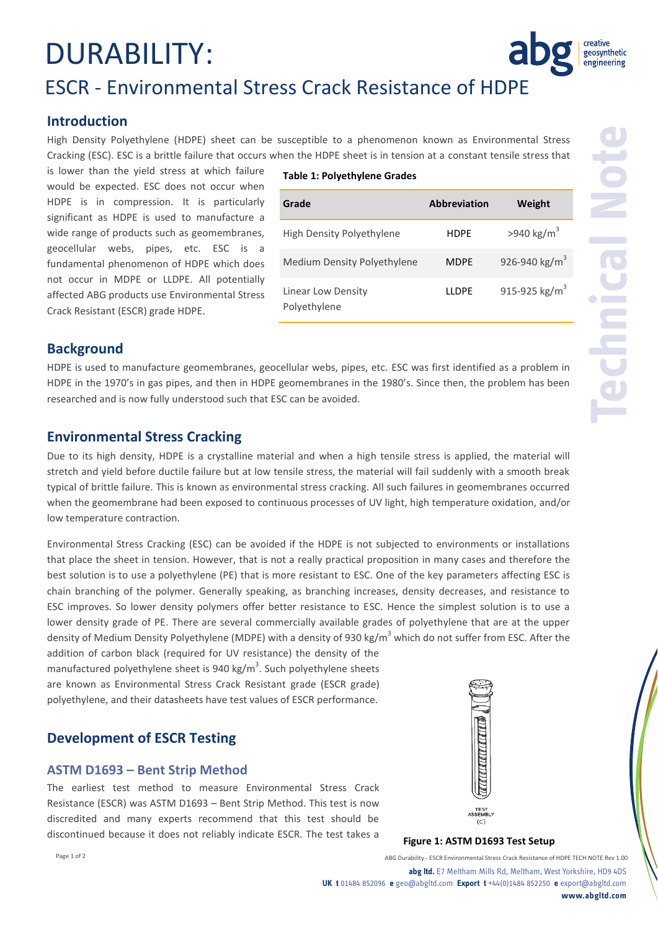# DURABILITY: ESCR - Environmental Stress Crack Resistance of HDPE

## **Introduction**

High Density Polyethylene (HDPE) sheet can be susceptible to a phenomenon known as Environmental Stress Cracking (ESC). ESC is a brittle failure that occurs when the HDPE sheet is in tension at a constant tensile stress that

is lower than the yield stress at which failure would be expected. ESC does not occur when HDPE is in compression. It is particularly significant as HDPE is used to manufacture a wide range of products such as geomembranes, geocellular webs, pipes, etc. ESC is a fundamental phenomenon of HDPE which does not occur in MDPE or LLDPE. All potentially affected ABG products use Environmental Stress Crack Resistant (ESCR) grade HDPE.

### **Table 1: Polyethylene Grades**

| Grade                              | <b>Abbreviation</b> | Weight                    |
|------------------------------------|---------------------|---------------------------|
| High Density Polyethylene          | <b>HDPF</b>         | $>940 \text{ kg/m}^3$     |
| Medium Density Polyethylene        | <b>MDPF</b>         | 926-940 kg/m <sup>3</sup> |
| Linear Low Density<br>Polyethylene | LI DPF              | 915-925 kg/m <sup>3</sup> |

# **Background**

HDPE is used to manufacture geomembranes, geocellular webs, pipes, etc. ESC was first identified as a problem in HDPE in the 1970's in gas pipes, and then in HDPE geomembranes in the 1980's. Since then, the problem has been researched and is now fully understood such that ESC can be avoided.

## **Environmental Stress Cracking**

Due to its high density, HDPE is a crystalline material and when a high tensile stress is applied, the material will stretch and yield before ductile failure but at low tensile stress, the material will fail suddenly with a smooth break typical of brittle failure. This is known as environmental stress cracking. All such failures in geomembranes occurred when the geomembrane had been exposed to continuous processes of UV light, high temperature oxidation, and/or low temperature contraction.

Environmental Stress Cracking (ESC) can be avoided if the HDPE is not subjected to environments or installations that place the sheet in tension. However, that is not a really practical proposition in many cases and therefore the best solution is to use a polyethylene (PE) that is more resistant to ESC. One of the key parameters affecting ESC is chain branching of the polymer. Generally speaking, as branching increases, density decreases, and resistance to ESC improves. So lower density polymers offer better resistance to ESC. Hence the simplest solution is to use a lower density grade of PE. There are several commercially available grades of polyethylene that are at the upper density of Medium Density Polyethylene (MDPE) with a density of 930 kg/ $m<sup>3</sup>$  which do not suffer from ESC. After the

addition of carbon black (required for UV resistance) the density of the manufactured polyethylene sheet is 940 kg/m<sup>3</sup>. Such polyethylene sheets are known as Environmental Stress Crack Resistant grade (ESCR grade) polyethylene, and their datasheets have test values of ESCR performance.

# **Development of ESCR Testing**

### **ASTM D1693 – Bent Strip Method**

The earliest test method to measure Environmental Stress Crack Resistance (ESCR) was ASTM D1693 – Bent Strip Method. This test is now discredited and many experts recommend that this test should be discontinued because it does not reliably indicate ESCR. The test takes a **Figure 1: ASTM D1693 Test Setup**



**Technical Note**

creative geosynthetic engineering

Page 1 of 2 **ABG Durability - ESCR Environmental Stress Crack Resistance of HDPE TECH NOTE Rev 1.00 abg ltd.** E7 Meltham Mills Rd, Meltham, West Yorkshire, HD9 4DS **UK t** 01484 852096 **e** geo@abgltd.com **Export t** +44(0)1484 852250 **e** export@abgltd.com **www.abgltd.com**